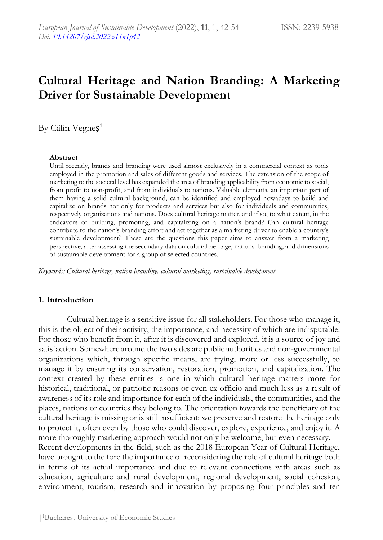# **Cultural Heritage and Nation Branding: A Marketing Driver for Sustainable Development**

By Călin Vegheș 1

#### **Abstract**

Until recently, brands and branding were used almost exclusively in a commercial context as tools employed in the promotion and sales of different goods and services. The extension of the scope of marketing to the societal level has expanded the area of branding applicability from economic to social, from profit to non-profit, and from individuals to nations. Valuable elements, an important part of them having a solid cultural background, can be identified and employed nowadays to build and capitalize on brands not only for products and services but also for individuals and communities, respectively organizations and nations. Does cultural heritage matter, and if so, to what extent, in the endeavors of building, promoting, and capitalizing on a nation's brand? Can cultural heritage contribute to the nation's branding effort and act together as a marketing driver to enable a country's sustainable development? These are the questions this paper aims to answer from a marketing perspective, after assessing the secondary data on cultural heritage, nations' branding, and dimensions of sustainable development for a group of selected countries.

*Keywords: Cultural heritage, nation branding, cultural marketing, sustainable development*

## **1. Introduction**

Cultural heritage is a sensitive issue for all stakeholders. For those who manage it, this is the object of their activity, the importance, and necessity of which are indisputable. For those who benefit from it, after it is discovered and explored, it is a source of joy and satisfaction. Somewhere around the two sides are public authorities and non-governmental organizations which, through specific means, are trying, more or less successfully, to manage it by ensuring its conservation, restoration, promotion, and capitalization. The context created by these entities is one in which cultural heritage matters more for historical, traditional, or patriotic reasons or even ex officio and much less as a result of awareness of its role and importance for each of the individuals, the communities, and the places, nations or countries they belong to. The orientation towards the beneficiary of the cultural heritage is missing or is still insufficient: we preserve and restore the heritage only to protect it, often even by those who could discover, explore, experience, and enjoy it. A more thoroughly marketing approach would not only be welcome, but even necessary. Recent developments in the field, such as the 2018 European Year of Cultural Heritage, have brought to the fore the importance of reconsidering the role of cultural heritage both in terms of its actual importance and due to relevant connections with areas such as education, agriculture and rural development, regional development, social cohesion, environment, tourism, research and innovation by proposing four principles and ten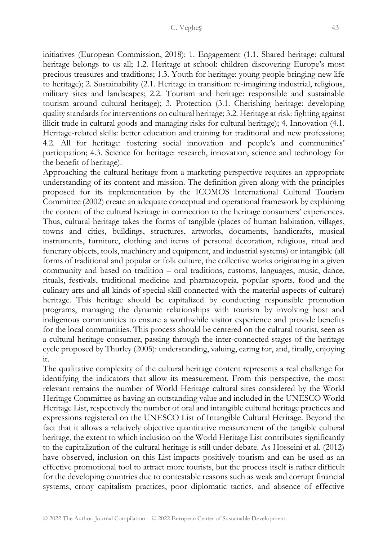initiatives (European Commission, 2018): 1. Engagement (1.1. Shared heritage: cultural heritage belongs to us all; 1.2. Heritage at school: children discovering Europe's most precious treasures and traditions; 1.3. Youth for heritage: young people bringing new life to heritage); 2. Sustainability (2.1. Heritage in transition: re-imagining industrial, religious, military sites and landscapes; 2.2. Tourism and heritage: responsible and sustainable tourism around cultural heritage); 3. Protection (3.1. Cherishing heritage: developing quality standards for interventions on cultural heritage; 3.2. Heritage at risk: fighting against illicit trade in cultural goods and managing risks for cultural heritage); 4. Innovation (4.1. Heritage-related skills: better education and training for traditional and new professions; 4.2. All for heritage: fostering social innovation and people's and communities' participation; 4.3. Science for heritage: research, innovation, science and technology for the benefit of heritage).

Approaching the cultural heritage from a marketing perspective requires an appropriate understanding of its content and mission. The definition given along with the principles proposed for its implementation by the ICOMOS International Cultural Tourism Committee (2002) create an adequate conceptual and operational framework by explaining the content of the cultural heritage in connection to the heritage consumers' experiences. Thus, cultural heritage takes the forms of tangible (places of human habitation, villages, towns and cities, buildings, structures, artworks, documents, handicrafts, musical instruments, furniture, clothing and items of personal decoration, religious, ritual and funerary objects, tools, machinery and equipment, and industrial systems) or intangible (all forms of traditional and popular or folk culture, the collective works originating in a given community and based on tradition – oral traditions, customs, languages, music, dance, rituals, festivals, traditional medicine and pharmacopeia, popular sports, food and the culinary arts and all kinds of special skill connected with the material aspects of culture) heritage*.* This heritage should be capitalized by conducting responsible promotion programs, managing the dynamic relationships with tourism by involving host and indigenous communities to ensure a worthwhile visitor experience and provide benefits for the local communities. This process should be centered on the cultural tourist, seen as a cultural heritage consumer, passing through the inter-connected stages of the heritage cycle proposed by Thurley (2005): understanding, valuing, caring for, and, finally, enjoying it.

The qualitative complexity of the cultural heritage content represents a real challenge for identifying the indicators that allow its measurement. From this perspective, the most relevant remains the number of World Heritage cultural sites considered by the World Heritage Committee as having an outstanding value and included in the UNESCO World Heritage List, respectively the number of oral and intangible cultural heritage practices and expressions registered on the UNESCO List of Intangible Cultural Heritage. Beyond the fact that it allows a relatively objective quantitative measurement of the tangible cultural heritage, the extent to which inclusion on the World Heritage List contributes significantly to the capitalization of the cultural heritage is still under debate. As Hosseini et al. (2012) have observed, inclusion on this List impacts positively tourism and can be used as an effective promotional tool to attract more tourists, but the process itself is rather difficult for the developing countries due to contestable reasons such as weak and corrupt financial systems, crony capitalism practices, poor diplomatic tactics, and absence of effective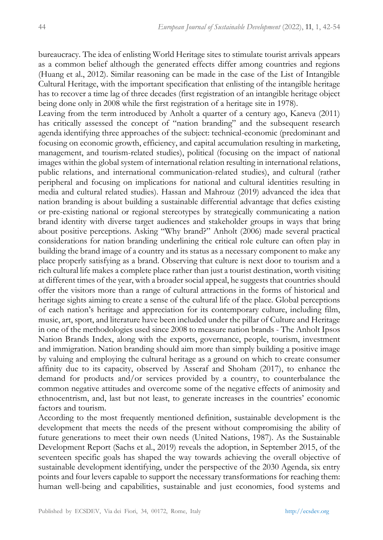bureaucracy. The idea of enlisting World Heritage sites to stimulate tourist arrivals appears as a common belief although the generated effects differ among countries and regions (Huang et al., 2012). Similar reasoning can be made in the case of the List of Intangible Cultural Heritage, with the important specification that enlisting of the intangible heritage has to recover a time lag of three decades (first registration of an intangible heritage object being done only in 2008 while the first registration of a heritage site in 1978).

Leaving from the term introduced by Anholt a quarter of a century ago, Kaneva (2011) has critically assessed the concept of "nation branding" and the subsequent research agenda identifying three approaches of the subject: technical-economic (predominant and focusing on economic growth, efficiency, and capital accumulation resulting in marketing, management, and tourism-related studies), political (focusing on the impact of national images within the global system of international relation resulting in international relations, public relations, and international communication-related studies), and cultural (rather peripheral and focusing on implications for national and cultural identities resulting in media and cultural related studies). Hassan and Mahrouz (2019) advanced the idea that nation branding is about building a sustainable differential advantage that defies existing or pre-existing national or regional stereotypes by strategically communicating a nation brand identity with diverse target audiences and stakeholder groups in ways that bring about positive perceptions. Asking "Why brand?" Anholt (2006) made several practical considerations for nation branding underlining the critical role culture can often play in building the brand image of a country and its status as a necessary component to make any place properly satisfying as a brand. Observing that culture is next door to tourism and a rich cultural life makes a complete place rather than just a tourist destination, worth visiting at different times of the year, with a broader social appeal, he suggests that countries should offer the visitors more than a range of cultural attractions in the forms of historical and heritage sights aiming to create a sense of the cultural life of the place. Global perceptions of each nation's heritage and appreciation for its contemporary culture, including film, music, art, sport, and literature have been included under the pillar of Culture and Heritage in one of the methodologies used since 2008 to measure nation brands - The Anholt Ipsos Nation Brands Index, along with the exports, governance, people, tourism, investment and immigration. Nation branding should aim more than simply building a positive image by valuing and employing the cultural heritage as a ground on which to create consumer affinity due to its capacity, observed by Asseraf and Shoham (2017), to enhance the demand for products and/or services provided by a country, to counterbalance the common negative attitudes and overcome some of the negative effects of animosity and ethnocentrism, and, last but not least, to generate increases in the countries' economic factors and tourism.

According to the most frequently mentioned definition, sustainable development is the development that meets the needs of the present without compromising the ability of future generations to meet their own needs (United Nations, 1987). As the Sustainable Development Report (Sachs et al., 2019) reveals the adoption, in September 2015, of the seventeen specific goals has shaped the way towards achieving the overall objective of sustainable development identifying, under the perspective of the 2030 Agenda, six entry points and four levers capable to support the necessary transformations for reaching them: human well-being and capabilities, sustainable and just economies, food systems and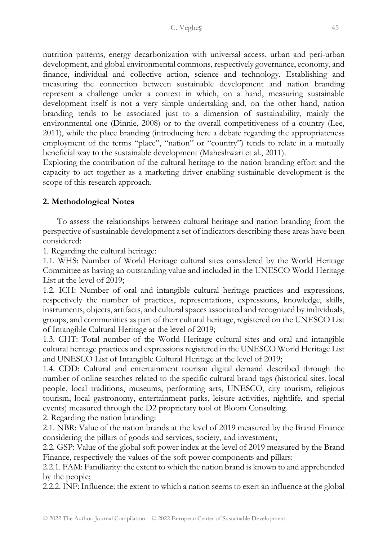nutrition patterns, energy decarbonization with universal access, urban and peri-urban development, and global environmental commons, respectively governance, economy, and finance, individual and collective action, science and technology. Establishing and measuring the connection between sustainable development and nation branding represent a challenge under a context in which, on a hand, measuring sustainable development itself is not a very simple undertaking and, on the other hand, nation branding tends to be associated just to a dimension of sustainability, mainly the environmental one (Dinnie, 2008) or to the overall competitiveness of a country (Lee, 2011), while the place branding (introducing here a debate regarding the appropriateness employment of the terms "place", "nation" or "country") tends to relate in a mutually beneficial way to the sustainable development (Maheshwari et al., 2011).

Exploring the contribution of the cultural heritage to the nation branding effort and the capacity to act together as a marketing driver enabling sustainable development is the scope of this research approach.

## **2. Methodological Notes**

To assess the relationships between cultural heritage and nation branding from the perspective of sustainable development a set of indicators describing these areas have been considered:

1. Regarding the cultural heritage:

1.1. WHS: Number of World Heritage cultural sites considered by the World Heritage Committee as having an outstanding value and included in the UNESCO World Heritage List at the level of 2019;

1.2. ICH: Number of oral and intangible cultural heritage practices and expressions, respectively the number of practices, representations, expressions, knowledge, skills, instruments, objects, artifacts, and cultural spaces associated and recognized by individuals, groups, and communities as part of their cultural heritage, registered on the UNESCO List of Intangible Cultural Heritage at the level of 2019;

1.3. CHT: Total number of the World Heritage cultural sites and oral and intangible cultural heritage practices and expressions registered in the UNESCO World Heritage List and UNESCO List of Intangible Cultural Heritage at the level of 2019;

1.4. CDD: Cultural and entertainment tourism digital demand described through the number of online searches related to the specific cultural brand tags (historical sites, local people, local traditions, museums, performing arts, UNESCO, city tourism, religious tourism, local gastronomy, entertainment parks, leisure activities, nightlife, and special events) measured through the D2 proprietary tool of Bloom Consulting.

2. Regarding the nation branding:

2.1. NBR: Value of the nation brands at the level of 2019 measured by the Brand Finance considering the pillars of goods and services, society, and investment;

2.2. GSP: Value of the global soft power index at the level of 2019 measured by the Brand Finance, respectively the values of the soft power components and pillars:

2.2.1. FAM: Familiarity: the extent to which the nation brand is known to and apprehended by the people;

2.2.2. INF: Influence: the extent to which a nation seems to exert an influence at the global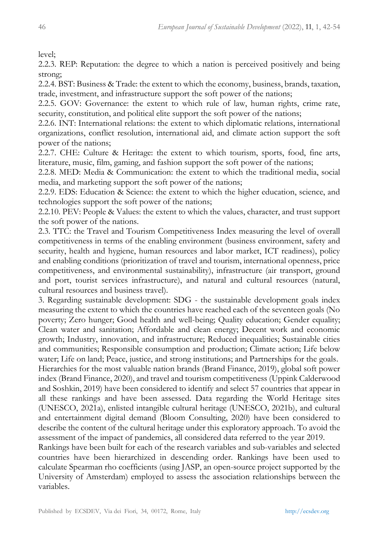level;

2.2.3. REP: Reputation: the degree to which a nation is perceived positively and being strong;

2.2.4. BST: Business & Trade: the extent to which the economy, business, brands, taxation, trade, investment, and infrastructure support the soft power of the nations;

2.2.5. GOV: Governance: the extent to which rule of law, human rights, crime rate, security, constitution, and political elite support the soft power of the nations;

2.2.6. INT: International relations: the extent to which diplomatic relations, international organizations, conflict resolution, international aid, and climate action support the soft power of the nations;

2.2.7. CHE: Culture & Heritage: the extent to which tourism, sports, food, fine arts, literature, music, film, gaming, and fashion support the soft power of the nations;

2.2.8. MED: Media & Communication: the extent to which the traditional media, social media, and marketing support the soft power of the nations;

2.2.9. EDS: Education & Science: the extent to which the higher education, science, and technologies support the soft power of the nations;

2.2.10. PEV: People & Values: the extent to which the values, character, and trust support the soft power of the nations.

2.3. TTC: the Travel and Tourism Competitiveness Index measuring the level of overall competitiveness in terms of the enabling environment (business environment, safety and security, health and hygiene, human resources and labor market, ICT readiness), policy and enabling conditions (prioritization of travel and tourism, international openness, price competitiveness, and environmental sustainability), infrastructure (air transport, ground and port, tourist services infrastructure), and natural and cultural resources (natural, cultural resources and business travel).

3. Regarding sustainable development: SDG - the sustainable development goals index measuring the extent to which the countries have reached each of the seventeen goals (No poverty; Zero hunger; Good health and well-being; Quality education; Gender equality; Clean water and sanitation; Affordable and clean energy; Decent work and economic growth; Industry, innovation, and infrastructure; Reduced inequalities; Sustainable cities and communities; Responsible consumption and production; Climate action; Life below water; Life on land; Peace, justice, and strong institutions; and Partnerships for the goals. Hierarchies for the most valuable nation brands (Brand Finance, 2019), global soft power index (Brand Finance, 2020), and travel and tourism competitiveness (Uppink Calderwood and Soshkin, 2019) have been considered to identify and select 57 countries that appear in all these rankings and have been assessed. Data regarding the World Heritage sites (UNESCO, 2021a), enlisted intangible cultural heritage (UNESCO, 2021b), and cultural and entertainment digital demand (Bloom Consulting, 2020) have been considered to describe the content of the cultural heritage under this exploratory approach. To avoid the assessment of the impact of pandemics, all considered data referred to the year 2019.

Rankings have been built for each of the research variables and sub-variables and selected countries have been hierarchized in descending order. Rankings have been used to calculate Spearman rho coefficients (using JASP, an open-source project supported by the University of Amsterdam) employed to assess the association relationships between the variables.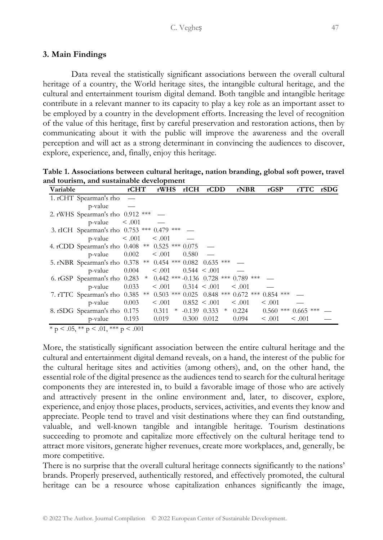## **3. Main Findings**

Data reveal the statistically significant associations between the overall cultural heritage of a country, the World heritage sites, the intangible cultural heritage, and the cultural and entertainment tourism digital demand. Both tangible and intangible heritage contribute in a relevant manner to its capacity to play a key role as an important asset to be employed by a country in the development efforts. Increasing the level of recognition of the value of this heritage, first by careful preservation and restoration actions, then by communicating about it with the public will improve the awareness and the overall perception and will act as a strong determinant in convincing the audiences to discover, explore, experience, and, finally, enjoy this heritage.

**Table 1. Associations between cultural heritage, nation branding, global soft power, travel and tourism, and sustainable development**

| Variable |                                                                     | rCHT              | rWHS         | rICH  | rCDD               | rNBR                                                   | rGSP        | rTTC                    | rSDG |
|----------|---------------------------------------------------------------------|-------------------|--------------|-------|--------------------|--------------------------------------------------------|-------------|-------------------------|------|
|          | 1. rCHT Spearman's rho                                              |                   |              |       |                    |                                                        |             |                         |      |
|          | p-value                                                             |                   |              |       |                    |                                                        |             |                         |      |
|          | 2. rWHS Spearman's rho 0.912 ***                                    |                   |              |       |                    |                                                        |             |                         |      |
|          | $p$ -value $\leq .001$                                              |                   |              |       |                    |                                                        |             |                         |      |
|          | 3. rICH Spearman's rho 0.753 *** 0.479 ***                          |                   |              |       |                    |                                                        |             |                         |      |
|          | p-value                                                             | $\leq .001$       | $\leq .001$  |       |                    |                                                        |             |                         |      |
|          | 4. rCDD Spearman's rho 0.408 ** 0.525 *** 0.075                     |                   |              |       |                    |                                                        |             |                         |      |
|          | p-value                                                             | 0.002             | < 0.001      | 0.580 |                    |                                                        |             |                         |      |
|          | 5. rNBR Spearman's rho 0.378 ** 0.454 *** 0.082 0.635 ***           |                   |              |       |                    |                                                        |             |                         |      |
|          | p-value                                                             | $0.004 \leq .001$ |              |       | $0.544 \leq .001$  |                                                        |             |                         |      |
|          | 6. rGSP Spearman's rho 0.283 * 0.442 *** -0.136 0.728 *** 0.789 *** |                   |              |       |                    |                                                        |             |                         |      |
|          | p-value                                                             | 0.033             | $\leq .001$  |       | $0.314 \leq .001$  | $\leq .001$                                            |             |                         |      |
|          | 7. rTTC Spearman's rho                                              |                   |              |       |                    | $0.385$ ** $0.503$ *** $0.025$ $0.848$ *** $0.672$ *** | $0.854$ *** |                         |      |
|          | p-value                                                             | 0.003             | $\leq .001$  |       | $0.852 \leq .001$  | $\leq .001$                                            | $\leq .001$ |                         |      |
|          | 8. rSDG Spearman's rho 0.175                                        |                   | 0.311<br>$*$ |       | $-0.139$ $0.333$ * | 0.224                                                  |             | $0.560$ *** $0.665$ *** |      |
|          | p-value                                                             | 0.193             | 0.019        | 0.300 | 0.012              | 0.094                                                  | $\leq .001$ | $\leq .001$             |      |

 $* p \lt 0.05, ** p \lt 0.01, *** p \lt 0.001$ 

More, the statistically significant association between the entire cultural heritage and the cultural and entertainment digital demand reveals, on a hand, the interest of the public for the cultural heritage sites and activities (among others), and, on the other hand, the essential role of the digital presence as the audiences tend to search for the cultural heritage components they are interested in, to build a favorable image of those who are actively and attractively present in the online environment and, later, to discover, explore, experience, and enjoy those places, products, services, activities, and events they know and appreciate. People tend to travel and visit destinations where they can find outstanding, valuable, and well-known tangible and intangible heritage. Tourism destinations succeeding to promote and capitalize more effectively on the cultural heritage tend to attract more visitors, generate higher revenues, create more workplaces, and, generally, be more competitive.

There is no surprise that the overall cultural heritage connects significantly to the nations' brands. Properly preserved, authentically restored, and effectively promoted, the cultural heritage can be a resource whose capitalization enhances significantly the image,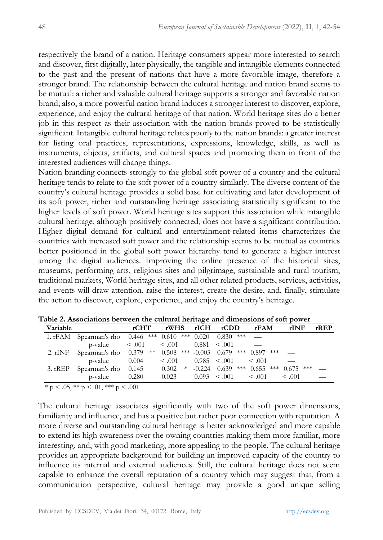respectively the brand of a nation. Heritage consumers appear more interested to search and discover, first digitally, later physically, the tangible and intangible elements connected to the past and the present of nations that have a more favorable image, therefore a stronger brand. The relationship between the cultural heritage and nation brand seems to be mutual: a richer and valuable cultural heritage supports a stronger and favorable nation brand; also, a more powerful nation brand induces a stronger interest to discover, explore, experience, and enjoy the cultural heritage of that nation. World heritage sites do a better job in this respect as their association with the nation brands proved to be statistically significant. Intangible cultural heritage relates poorly to the nation brands: a greater interest for listing oral practices, representations, expressions, knowledge, skills, as well as instruments, objects, artifacts, and cultural spaces and promoting them in front of the interested audiences will change things.

Nation branding connects strongly to the global soft power of a country and the cultural heritage tends to relate to the soft power of a country similarly. The diverse content of the country's cultural heritage provides a solid base for cultivating and later development of its soft power, richer and outstanding heritage associating statistically significant to the higher levels of soft power. World heritage sites support this association while intangible cultural heritage, although positively connected, does not have a significant contribution. Higher digital demand for cultural and entertainment-related items characterizes the countries with increased soft power and the relationship seems to be mutual as countries better positioned in the global soft power hierarchy tend to generate a higher interest among the digital audiences. Improving the online presence of the historical sites, museums, performing arts, religious sites and pilgrimage, sustainable and rural tourism, traditional markets, World heritage sites, and all other related products, services, activities, and events will draw attention, raise the interest, create the desire, and, finally, stimulate the action to discover, explore, experience, and enjoy the country's heritage.

| Variable |                                                                  | rCHT  |             | rWHS rICH rCDD       | rFAM                    | rINF        | $r$ REP |
|----------|------------------------------------------------------------------|-------|-------------|----------------------|-------------------------|-------------|---------|
|          | 1. rFAM Spearman's rho 0.446 *** 0.610 *** 0.020                 |       |             | $0.830$ ***          |                         |             |         |
|          | $p-value \t\t 0.001 \t\t 0.001 \t\t 0.881 \t\t 0.001$            |       |             |                      |                         |             |         |
|          | 2. rINF Spearman's rho 0.379 ** 0.508 *** -0.003 0.679 *** 0.897 |       |             |                      | ***  ___                |             |         |
|          | p-value                                                          | 0.004 | $\leq .001$ | $0.985 \leq .001$    | < 0.01                  |             |         |
|          | 3. rREP Spearman's rho 0.145                                     |       | $0.302$ *   | $-0.224$ $0.639$ *** | $0.655$ *** $0.675$ *** |             |         |
|          | p-value                                                          | 0.280 | 0.023       | $0.093 \leq .001$    | < 0.01                  | $\leq .001$ |         |

**Table 2. Associations between the cultural heritage and dimensions of soft power** 

 $* p < 0.05, ** p < 0.01, ** p < 0.001$ 

The cultural heritage associates significantly with two of the soft power dimensions, familiarity and influence, and has a positive but rather poor connection with reputation. A more diverse and outstanding cultural heritage is better acknowledged and more capable to extend its high awareness over the owning countries making them more familiar, more interesting, and, with good marketing, more appealing to the people. The cultural heritage provides an appropriate background for building an improved capacity of the country to influence its internal and external audiences. Still, the cultural heritage does not seem capable to enhance the overall reputation of a country which may suggest that, from a communication perspective, cultural heritage may provide a good unique selling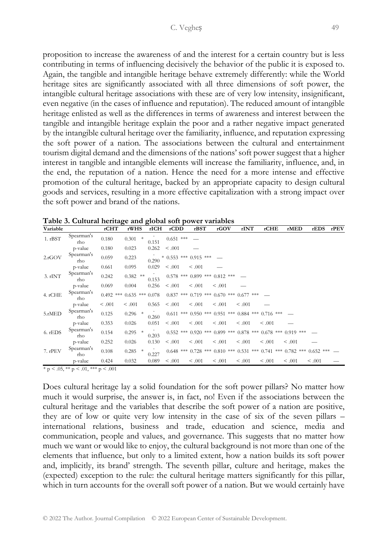proposition to increase the awareness of and the interest for a certain country but is less contributing in terms of influencing decisively the behavior of the public it is exposed to. Again, the tangible and intangible heritage behave extremely differently: while the World heritage sites are significantly associated with all three dimensions of soft power, the intangible cultural heritage associations with these are of very low intensity, insignificant, even negative (in the cases of influence and reputation). The reduced amount of intangible heritage enlisted as well as the differences in terms of awareness and interest between the tangible and intangible heritage explain the poor and a rather negative impact generated by the intangible cultural heritage over the familiarity, influence, and reputation expressing the soft power of a nation. The associations between the cultural and entertainment tourism digital demand and the dimensions of the nations' soft power suggest that a higher interest in tangible and intangible elements will increase the familiarity, influence, and, in the end, the reputation of a nation. Hence the need for a more intense and effective promotion of the cultural heritage, backed by an appropriate capacity to design cultural goods and services, resulting in a more effective capitalization with a strong impact over the soft power and brand of the nations.

| Variable |                   | rCHT        | rWHS                | rICH  | rCDD                  | rBST    | rGOV                                                                    | rINT        | rCHE    | rMED    | rEDS                                                                                | rPEV |
|----------|-------------------|-------------|---------------------|-------|-----------------------|---------|-------------------------------------------------------------------------|-------------|---------|---------|-------------------------------------------------------------------------------------|------|
| 1. rBST  | Spearman's<br>rho | 0.180       | $\ast$<br>0.301     | 0.151 | $0.651$ ***           |         |                                                                         |             |         |         |                                                                                     |      |
|          | p-value           | 0.180       | 0.023               | 0.262 | < 0.001               |         |                                                                         |             |         |         |                                                                                     |      |
| 2.fGOV   | Spearman's<br>rho | 0.059       | 0.223               | 0.290 | * 0.553 *** 0.915 *** |         |                                                                         |             |         |         |                                                                                     |      |
|          | p-value           | 0.661       | 0.095               | 0.029 | < 0.001               | < 0.001 |                                                                         |             |         |         |                                                                                     |      |
| 3. rINT  | Spearman's<br>rho | 0.242       | 0.382<br>**         | 0.153 |                       |         | $0.578$ *** $0.899$ *** $0.812$ ***                                     |             |         |         |                                                                                     |      |
|          | p-value           | 0.069       | 0.004               | 0.256 | < 0.001               | < 0.001 | < 0.001                                                                 |             |         |         |                                                                                     |      |
| 4. rCHE  | Spearman's<br>rho | $0.492$ *** | $0.635$ *** $0.078$ |       |                       |         | $0.837$ *** $0.719$ *** $0.670$ ***                                     | $0.677$ *** |         |         |                                                                                     |      |
|          | p-value           | < 0.001     | < 0.001             | 0.565 | < 0.001               | < 0.001 | < 0.001                                                                 | < 0.001     |         |         |                                                                                     |      |
| 5.rMED   | Spearman's<br>rho | 0.125       | 0.296<br>*          | 0.260 |                       |         | $0.611$ *** $0.950$ *** $0.951$ *** $0.884$ *** $0.716$ ***             |             |         |         |                                                                                     |      |
|          | p-value           | 0.353       | 0.026               | 0.051 | < 0.001               | < 0.001 | < 0.001                                                                 | < 0.001     | < 0.001 |         |                                                                                     |      |
| 6. rEDS  | Spearman's<br>rho | 0.154       | 0.295               | 0.203 |                       |         | $0.552$ *** $0.920$ *** $0.899$ *** $0.878$ *** $0.678$ *** $0.919$ *** |             |         |         |                                                                                     |      |
|          | p-value           | 0.252       | 0.026               | 0.130 | < 0.001               | < 0.001 | < 0.001                                                                 | < 0.001     | < 0.001 | < 0.001 |                                                                                     |      |
| 7. rPEV  | Spearman's<br>rho | 0.108       | 0.285<br>$\ast$     | 0.227 |                       |         |                                                                         |             |         |         | $0.648$ *** $0.728$ *** $0.810$ *** $0.531$ *** $0.741$ *** $0.782$ *** $0.652$ *** |      |
|          | p-value           | 0.424       | 0.032               | 0.089 | < 0.001               | < 0.001 | < 0.001                                                                 | < 0.001     | < 0.001 | < 0.001 | < 0.001                                                                             |      |

**Table 3. Cultural heritage and global soft power variables**

 $* p < .05, ** p < .01, *** p < .001$ 

Does cultural heritage lay a solid foundation for the soft power pillars? No matter how much it would surprise, the answer is, in fact, no! Even if the associations between the cultural heritage and the variables that describe the soft power of a nation are positive, they are of low or quite very low intensity in the case of six of the seven pillars – international relations, business and trade, education and science, media and communication, people and values, and governance. This suggests that no matter how much we want or would like to enjoy, the cultural background is not more than one of the elements that influence, but only to a limited extent, how a nation builds its soft power and, implicitly, its brand' strength. The seventh pillar, culture and heritage, makes the (expected) exception to the rule: the cultural heritage matters significantly for this pillar, which in turn accounts for the overall soft power of a nation. But we would certainly have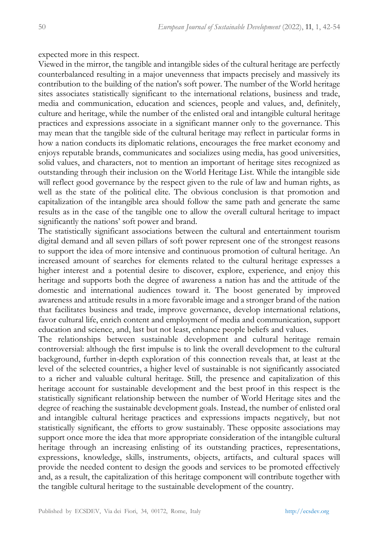expected more in this respect.

Viewed in the mirror, the tangible and intangible sides of the cultural heritage are perfectly counterbalanced resulting in a major unevenness that impacts precisely and massively its contribution to the building of the nation's soft power. The number of the World heritage sites associates statistically significant to the international relations, business and trade, media and communication, education and sciences, people and values, and, definitely, culture and heritage, while the number of the enlisted oral and intangible cultural heritage practices and expressions associate in a significant manner only to the governance. This may mean that the tangible side of the cultural heritage may reflect in particular forms in how a nation conducts its diplomatic relations, encourages the free market economy and enjoys reputable brands, communicates and socializes using media, has good universities, solid values, and characters, not to mention an important of heritage sites recognized as outstanding through their inclusion on the World Heritage List. While the intangible side will reflect good governance by the respect given to the rule of law and human rights, as well as the state of the political elite. The obvious conclusion is that promotion and capitalization of the intangible area should follow the same path and generate the same results as in the case of the tangible one to allow the overall cultural heritage to impact significantly the nations' soft power and brand.

The statistically significant associations between the cultural and entertainment tourism digital demand and all seven pillars of soft power represent one of the strongest reasons to support the idea of more intensive and continuous promotion of cultural heritage. An increased amount of searches for elements related to the cultural heritage expresses a higher interest and a potential desire to discover, explore, experience, and enjoy this heritage and supports both the degree of awareness a nation has and the attitude of the domestic and international audiences toward it. The boost generated by improved awareness and attitude results in a more favorable image and a stronger brand of the nation that facilitates business and trade, improve governance, develop international relations, favor cultural life, enrich content and employment of media and communication, support education and science, and, last but not least, enhance people beliefs and values.

The relationships between sustainable development and cultural heritage remain controversial: although the first impulse is to link the overall development to the cultural background, further in-depth exploration of this connection reveals that, at least at the level of the selected countries, a higher level of sustainable is not significantly associated to a richer and valuable cultural heritage. Still, the presence and capitalization of this heritage account for sustainable development and the best proof in this respect is the statistically significant relationship between the number of World Heritage sites and the degree of reaching the sustainable development goals. Instead, the number of enlisted oral and intangible cultural heritage practices and expressions impacts negatively, but not statistically significant, the efforts to grow sustainably. These opposite associations may support once more the idea that more appropriate consideration of the intangible cultural heritage through an increasing enlisting of its outstanding practices, representations, expressions, knowledge, skills, instruments, objects, artifacts, and cultural spaces will provide the needed content to design the goods and services to be promoted effectively and, as a result, the capitalization of this heritage component will contribute together with the tangible cultural heritage to the sustainable development of the country.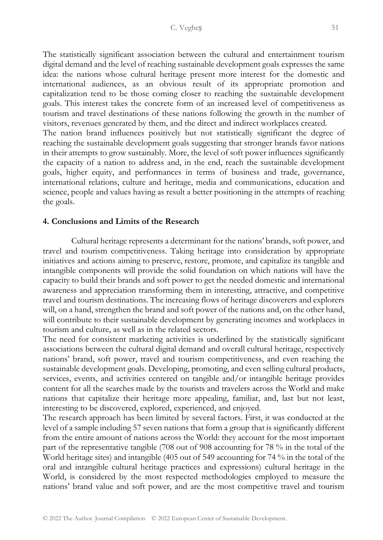The statistically significant association between the cultural and entertainment tourism digital demand and the level of reaching sustainable development goals expresses the same idea: the nations whose cultural heritage present more interest for the domestic and international audiences, as an obvious result of its appropriate promotion and capitalization tend to be those coming closer to reaching the sustainable development goals. This interest takes the concrete form of an increased level of competitiveness as tourism and travel destinations of these nations following the growth in the number of visitors, revenues generated by them, and the direct and indirect workplaces created. The nation brand influences positively but not statistically significant the degree of reaching the sustainable development goals suggesting that stronger brands favor nations in their attempts to grow sustainably. More, the level of soft power influences significantly the capacity of a nation to address and, in the end, reach the sustainable development goals, higher equity, and performances in terms of business and trade, governance, international relations, culture and heritage, media and communications, education and science, people and values having as result a better positioning in the attempts of reaching the goals.

## **4. Conclusions and Limits of the Research**

Cultural heritage represents a determinant for the nations' brands, soft power, and travel and tourism competitiveness. Taking heritage into consideration by appropriate initiatives and actions aiming to preserve, restore, promote, and capitalize its tangible and intangible components will provide the solid foundation on which nations will have the capacity to build their brands and soft power to get the needed domestic and international awareness and appreciation transforming them in interesting, attractive, and competitive travel and tourism destinations. The increasing flows of heritage discoverers and explorers will, on a hand, strengthen the brand and soft power of the nations and, on the other hand, will contribute to their sustainable development by generating incomes and workplaces in tourism and culture, as well as in the related sectors.

The need for consistent marketing activities is underlined by the statistically significant associations between the cultural digital demand and overall cultural heritage, respectively nations' brand, soft power, travel and tourism competitiveness, and even reaching the sustainable development goals. Developing, promoting, and even selling cultural products, services, events, and activities centered on tangible and/or intangible heritage provides content for all the searches made by the tourists and travelers across the World and make nations that capitalize their heritage more appealing, familiar, and, last but not least, interesting to be discovered, explored, experienced, and enjoyed.

The research approach has been limited by several factors. First, it was conducted at the level of a sample including 57 seven nations that form a group that is significantly different from the entire amount of nations across the World: they account for the most important part of the representative tangible (708 out of 908 accounting for 78 % in the total of the World heritage sites) and intangible (405 out of 549 accounting for 74 % in the total of the oral and intangible cultural heritage practices and expressions) cultural heritage in the World, is considered by the most respected methodologies employed to measure the nations' brand value and soft power, and are the most competitive travel and tourism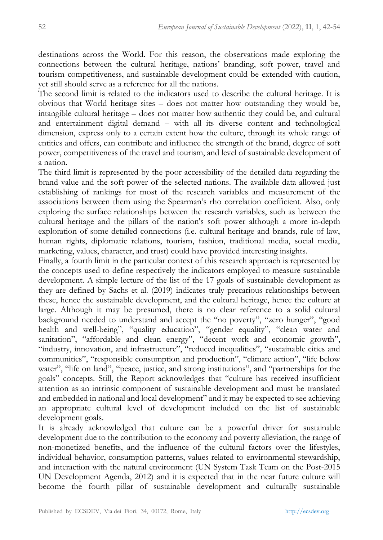destinations across the World. For this reason, the observations made exploring the connections between the cultural heritage, nations' branding, soft power, travel and tourism competitiveness, and sustainable development could be extended with caution, yet still should serve as a reference for all the nations.

The second limit is related to the indicators used to describe the cultural heritage. It is obvious that World heritage sites – does not matter how outstanding they would be, intangible cultural heritage – does not matter how authentic they could be, and cultural and entertainment digital demand – with all its diverse content and technological dimension, express only to a certain extent how the culture, through its whole range of entities and offers, can contribute and influence the strength of the brand, degree of soft power, competitiveness of the travel and tourism, and level of sustainable development of a nation.

The third limit is represented by the poor accessibility of the detailed data regarding the brand value and the soft power of the selected nations. The available data allowed just establishing of rankings for most of the research variables and measurement of the associations between them using the Spearman's rho correlation coefficient. Also, only exploring the surface relationships between the research variables, such as between the cultural heritage and the pillars of the nation's soft power although a more in-depth exploration of some detailed connections (i.e. cultural heritage and brands, rule of law, human rights, diplomatic relations, tourism, fashion, traditional media, social media, marketing, values, character, and trust) could have provided interesting insights.

Finally, a fourth limit in the particular context of this research approach is represented by the concepts used to define respectively the indicators employed to measure sustainable development. A simple lecture of the list of the 17 goals of sustainable development as they are defined by Sachs et al. (2019) indicates truly precarious relationships between these, hence the sustainable development, and the cultural heritage, hence the culture at large. Although it may be presumed, there is no clear reference to a solid cultural background needed to understand and accept the "no poverty", "zero hunger", "good health and well-being", "quality education", "gender equality", "clean water and sanitation", "affordable and clean energy", "decent work and economic growth", "industry, innovation, and infrastructure", "reduced inequalities", "sustainable cities and communities", "responsible consumption and production", "climate action", "life below water", "life on land", "peace, justice, and strong institutions", and "partnerships for the goals" concepts. Still, the Report acknowledges that "culture has received insufficient attention as an intrinsic component of sustainable development and must be translated and embedded in national and local development" and it may be expected to see achieving an appropriate cultural level of development included on the list of sustainable development goals.

It is already acknowledged that culture can be a powerful driver for sustainable development due to the contribution to the economy and poverty alleviation, the range of non-monetized benefits, and the influence of the cultural factors over the lifestyles, individual behavior, consumption patterns, values related to environmental stewardship, and interaction with the natural environment (UN System Task Team on the Post-2015 UN Development Agenda, 2012) and it is expected that in the near future culture will become the fourth pillar of sustainable development and culturally sustainable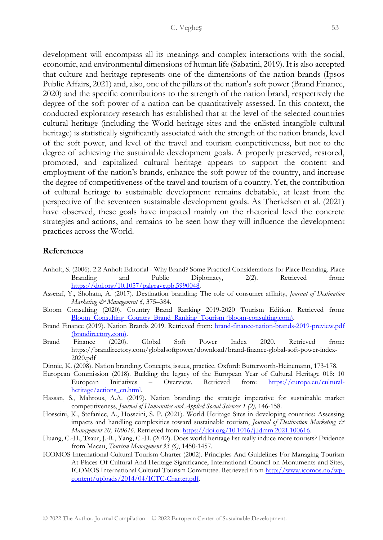development will encompass all its meanings and complex interactions with the social, economic, and environmental dimensions of human life (Sabatini, 2019). It is also accepted that culture and heritage represents one of the dimensions of the nation brands (Ipsos Public Affairs, 2021) and, also, one of the pillars of the nation's soft power (Brand Finance, 2020) and the specific contributions to the strength of the nation brand, respectively the degree of the soft power of a nation can be quantitatively assessed. In this context, the conducted exploratory research has established that at the level of the selected countries cultural heritage (including the World heritage sites and the enlisted intangible cultural heritage) is statistically significantly associated with the strength of the nation brands, level of the soft power, and level of the travel and tourism competitiveness, but not to the degree of achieving the sustainable development goals. A properly preserved, restored, promoted, and capitalized cultural heritage appears to support the content and employment of the nation's brands, enhance the soft power of the country, and increase the degree of competitiveness of the travel and tourism of a country. Yet, the contribution of cultural heritage to sustainable development remains debatable, at least from the perspective of the seventeen sustainable development goals. As Therkelsen et al. (2021) have observed, these goals have impacted mainly on the rhetorical level the concrete strategies and actions, and remains to be seen how they will influence the development practices across the World.

## **References**

- Anholt, S. (2006). 2.2 Anholt Editorial Why Brand? Some Practical Considerations for Place Branding. Place Branding and Public Diplomacy, 2(2). Retrieved [https://doi.org/10.1057/palgrave.pb.5990048.](https://doi.org/10.1057/palgrave.pb.5990048)
- Asseraf, Y., Shoham, A. (2017). Destination branding: The role of consumer affinity, *Journal of Destination Marketing & Management 6*, 375–384.
- Bloom Consulting (2020). Country Brand Ranking 2019-2020 Tourism Edition. Retrieved from: [Bloom\\_Consulting\\_Country\\_Brand\\_Ranking\\_Tourism \(bloom-consulting.com\).](https://www.bloom-consulting.com/en/pdf/rankings/Bloom_Consulting_Country_Brand_Ranking_Tourism.pdf)
- Brand Finance (2019). Nation Brands 2019. Retrieved from: [brand-finance-nation-brands-2019-preview.pdf](https://brandirectory.com/download-report/brand-finance-nation-brands-2019-preview.pdf)  [\(brandirectory.com\).](https://brandirectory.com/download-report/brand-finance-nation-brands-2019-preview.pdf)
- Brand Finance (2020). Global Soft Power Index 2020. Retrieved from: https://brandirectory.com/globalsoftpower/download/brand-finance-global-soft-power-index-2020.pdf
- Dinnie, K. (2008). Nation branding. Concepts, issues, practice. Oxford: Butterworth-Heinemann, 173-178.
- European Commission (2018). Building the legacy of the European Year of Cultural Heritage 018: 10 European Initiatives – Overview. Retrieved from: [https://europa.eu/cultural](https://europa.eu/cultural-heritage/actions_en.html)[heritage/actions\\_en.html.](https://europa.eu/cultural-heritage/actions_en.html)
- Hassan, S., Mahrous, A.A. (2019). Nation branding: the strategic imperative for sustainable market competitiveness, *Journal of Humanities and Applied Social Sciences 1 (2),* 146-158.
- Hosseini, K., Stefaniec, A., Hosseini, S. P. (2021). World Heritage Sites in developing countries: Assessing impacts and handling complexities toward sustainable tourism, *Journal of Destination Marketing & Management 20, 100616*. Retrieved from: [https://doi.org/10.1016/j.jdmm.2021.100616.](https://doi.org/10.1016/j.jdmm.2021.100616)
- Huang, C.-H., Tsaur, J.-R., Yang, C.-H. (2012). Does world heritage list really induce more tourists? Evidence from Macau, *Tourism Management 33 (6)*, 1450-1457.
- ICOMOS International Cultural Tourism Charter (2002). Principles And Guidelines For Managing Tourism At Places Of Cultural And Heritage Significance, International Council on Monuments and Sites, ICOMOS International Cultural Tourism Committee. Retrieved from [http://www.icomos.no/wp](http://www.icomos.no/wp-content/uploads/2014/04/ICTC-Charter.pdf)[content/uploads/2014/04/ICTC-Charter.pdf.](http://www.icomos.no/wp-content/uploads/2014/04/ICTC-Charter.pdf)